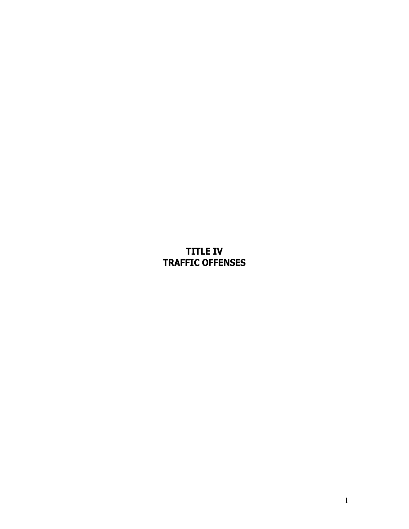# **TITLE IV TRAFFIC OFFENSES**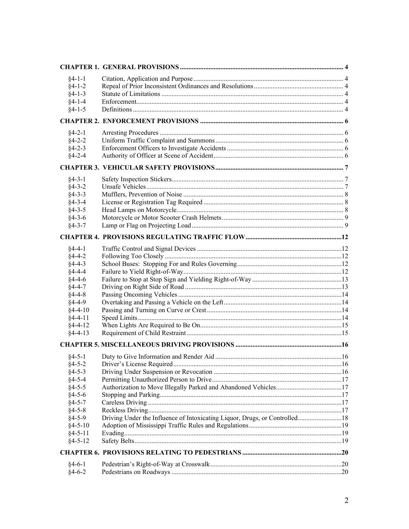| $§4 - 1 - 1$                   |                                                                            |  |
|--------------------------------|----------------------------------------------------------------------------|--|
| $§4 - 1 - 2$                   |                                                                            |  |
| $§4 - 1 - 3$                   |                                                                            |  |
| $§4 - 1 - 4$                   |                                                                            |  |
| $§4 - 1 - 5$                   |                                                                            |  |
|                                |                                                                            |  |
| $§4 - 2 - 1$                   |                                                                            |  |
| $§4 - 2 - 2$                   |                                                                            |  |
| $§4 - 2 - 3$                   |                                                                            |  |
| $§4 - 2 - 4$                   |                                                                            |  |
|                                |                                                                            |  |
| $§4 - 3 - 1$                   |                                                                            |  |
| $§4 - 3 - 2$                   |                                                                            |  |
| $§4 - 3 - 3$                   |                                                                            |  |
| $§4 - 3 - 4$                   |                                                                            |  |
| $§4 - 3 - 5$                   |                                                                            |  |
| $§4 - 3 - 6$                   |                                                                            |  |
| $§4 - 3 - 7$                   |                                                                            |  |
|                                |                                                                            |  |
| $§4-4-1$                       |                                                                            |  |
| $§4-4-2$                       |                                                                            |  |
| $§4-4-3$                       |                                                                            |  |
| $§4 - 4 - 4$                   |                                                                            |  |
| $§4-4-6$                       |                                                                            |  |
| $§4 - 4 - 7$                   |                                                                            |  |
| $§4-4-8$                       |                                                                            |  |
| $§4-4-9$                       |                                                                            |  |
| $§4-4-10$                      |                                                                            |  |
| $§4-4-11$                      |                                                                            |  |
| $§4 - 4 - 12$                  |                                                                            |  |
| $§4 - 4 - 13$                  |                                                                            |  |
|                                |                                                                            |  |
| $§$ 4-5-1                      |                                                                            |  |
| $§4 - 5 - 2$                   |                                                                            |  |
| $§4 - 5 - 3$                   |                                                                            |  |
| $§4 - 5 - 4$                   |                                                                            |  |
| $§4 - 5 - 5$                   |                                                                            |  |
| $§4 - 5 - 6$                   |                                                                            |  |
| $§4 - 5 - 7$                   |                                                                            |  |
| $§4 - 5 - 8$                   |                                                                            |  |
| $§4 - 5 - 9$                   | Driving Under the Influence of Intoxicating Liquor, Drugs, or Controlled18 |  |
| $§4 - 5 - 10$                  |                                                                            |  |
| $§4 - 5 - 11$<br>$§4 - 5 - 12$ |                                                                            |  |
|                                |                                                                            |  |
|                                |                                                                            |  |
| $§4-6-1$                       |                                                                            |  |
| $§4-6-2$                       |                                                                            |  |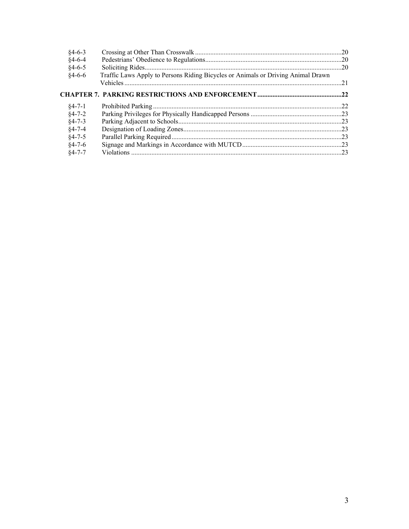| $§4-6-3$     |                                                                                  |  |
|--------------|----------------------------------------------------------------------------------|--|
| $§4-6-4$     |                                                                                  |  |
| $§4-6-5$     |                                                                                  |  |
| $§4-6-6$     | Traffic Laws Apply to Persons Riding Bicycles or Animals or Driving Animal Drawn |  |
|              |                                                                                  |  |
|              |                                                                                  |  |
| $84 - 7 - 1$ |                                                                                  |  |
| $§4 - 7 - 2$ |                                                                                  |  |
| $§4 - 7 - 3$ |                                                                                  |  |
| $§4 - 7 - 4$ |                                                                                  |  |
| $§4 - 7 - 5$ |                                                                                  |  |
| $§4 - 7 - 6$ |                                                                                  |  |
| $84 - 7 - 7$ |                                                                                  |  |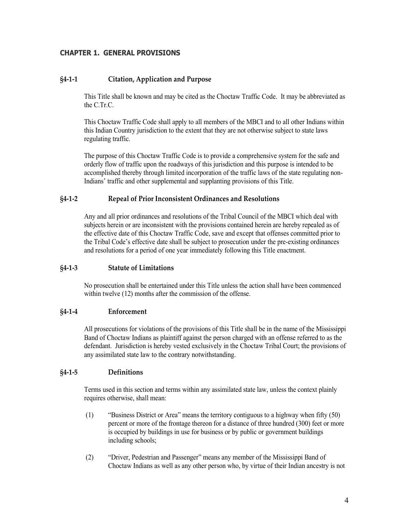## <span id="page-3-0"></span>**CHAPTER 1. GENERAL PROVISIONS**

#### <span id="page-3-1"></span>**§4-1-1 Citation, Application and Purpose**

This Title shall be known and may be cited as the Choctaw Traffic Code. It may be abbreviated as the C.Tr.C.

This Choctaw Traffic Code shall apply to all members of the MBCI and to all other Indians within this Indian Country jurisdiction to the extent that they are not otherwise subject to state laws regulating traffic.

The purpose of this Choctaw Traffic Code is to provide a comprehensive system for the safe and orderly flow of traffic upon the roadways of this jurisdiction and this purpose is intended to be accomplished thereby through limited incorporation of the traffic laws of the state regulating non-Indians' traffic and other supplemental and supplanting provisions of this Title.

#### <span id="page-3-2"></span>**§4-1-2 Repeal of Prior Inconsistent Ordinances and Resolutions**

Any and all prior ordinances and resolutions of the Tribal Council of the MBCI which deal with subjects herein or are inconsistent with the provisions contained herein are hereby repealed as of the effective date of this Choctaw Traffic Code, save and except that offenses committed prior to the Tribal Code's effective date shall be subject to prosecution under the pre-existing ordinances and resolutions for a period of one year immediately following this Title enactment.

#### <span id="page-3-3"></span>**§4-1-3 Statute of Limitations**

No prosecution shall be entertained under this Title unless the action shall have been commenced within twelve (12) months after the commission of the offense.

#### <span id="page-3-4"></span>**§4-1-4 Enforcement**

All prosecutions for violations of the provisions of this Title shall be in the name of the Mississippi Band of Choctaw Indians as plaintiff against the person charged with an offense referred to as the defendant. Jurisdiction is hereby vested exclusively in the Choctaw Tribal Court; the provisions of any assimilated state law to the contrary notwithstanding.

#### <span id="page-3-5"></span>**§4-1-5 Definitions**

Terms used in this section and terms within any assimilated state law, unless the context plainly requires otherwise, shall mean:

- (1) "Business District or Area" means the territory contiguous to a highway when fifty (50) percent or more of the frontage thereon for a distance of three hundred (300) feet or more is occupied by buildings in use for business or by public or government buildings including schools;
- (2) "Driver, Pedestrian and Passenger" means any member of the Mississippi Band of Choctaw Indians as well as any other person who, by virtue of their Indian ancestry is not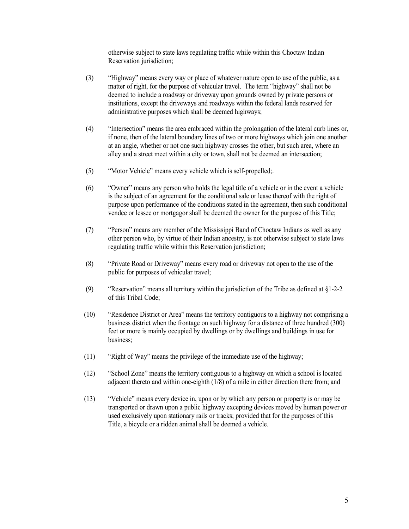otherwise subject to state laws regulating traffic while within this Choctaw Indian Reservation jurisdiction;

- (3) "Highway" means every way or place of whatever nature open to use of the public, as a matter of right, for the purpose of vehicular travel. The term "highway" shall not be deemed to include a roadway or driveway upon grounds owned by private persons or institutions, except the driveways and roadways within the federal lands reserved for administrative purposes which shall be deemed highways;
- (4) "Intersection" means the area embraced within the prolongation of the lateral curb lines or, if none, then of the lateral boundary lines of two or more highways which join one another at an angle, whether or not one such highway crosses the other, but such area, where an alley and a street meet within a city or town, shall not be deemed an intersection;
- (5) "Motor Vehicle" means every vehicle which is self-propelled;.
- (6) "Owner" means any person who holds the legal title of a vehicle or in the event a vehicle is the subject of an agreement for the conditional sale or lease thereof with the right of purpose upon performance of the conditions stated in the agreement, then such conditional vendee or lessee or mortgagor shall be deemed the owner for the purpose of this Title;
- (7) "Person" means any member of the Mississippi Band of Choctaw Indians as well as any other person who, by virtue of their Indian ancestry, is not otherwise subject to state laws regulating traffic while within this Reservation jurisdiction;
- (8) "Private Road or Driveway" means every road or driveway not open to the use of the public for purposes of vehicular travel;
- (9) "Reservation" means all territory within the jurisdiction of the Tribe as defined at §1-2-2 of this Tribal Code;
- (10) "Residence District or Area" means the territory contiguous to a highway not comprising a business district when the frontage on such highway for a distance of three hundred (300) feet or more is mainly occupied by dwellings or by dwellings and buildings in use for business;
- (11) "Right of Way" means the privilege of the immediate use of the highway;
- (12) "School Zone" means the territory contiguous to a highway on which a school is located adjacent thereto and within one-eighth (1/8) of a mile in either direction there from; and
- (13) "Vehicle" means every device in, upon or by which any person or property is or may be transported or drawn upon a public highway excepting devices moved by human power or used exclusively upon stationary rails or tracks; provided that for the purposes of this Title, a bicycle or a ridden animal shall be deemed a vehicle.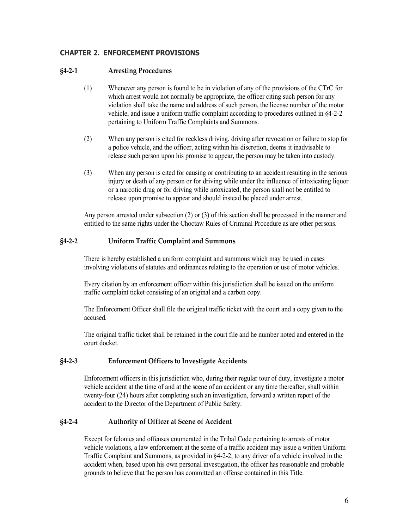# <span id="page-5-0"></span>**CHAPTER 2. ENFORCEMENT PROVISIONS**

## <span id="page-5-1"></span>**§4-2-1 Arresting Procedures**

- (1) Whenever any person is found to be in violation of any of the provisions of the CTrC for which arrest would not normally be appropriate, the officer citing such person for any violation shall take the name and address of such person, the license number of the motor vehicle, and issue a uniform traffic complaint according to procedures outlined in §4-2-2 pertaining to Uniform Traffic Complaints and Summons.
- (2) When any person is cited for reckless driving, driving after revocation or failure to stop for a police vehicle, and the officer, acting within his discretion, deems it inadvisable to release such person upon his promise to appear, the person may be taken into custody.
- (3) When any person is cited for causing or contributing to an accident resulting in the serious injury or death of any person or for driving while under the influence of intoxicating liquor or a narcotic drug or for driving while intoxicated, the person shall not be entitled to release upon promise to appear and should instead be placed under arrest.

Any person arrested under subsection (2) or (3) of this section shall be processed in the manner and entitled to the same rights under the Choctaw Rules of Criminal Procedure as are other persons.

## <span id="page-5-2"></span>**§4-2-2 Uniform Traffic Complaint and Summons**

There is hereby established a uniform complaint and summons which may be used in cases involving violations of statutes and ordinances relating to the operation or use of motor vehicles.

Every citation by an enforcement officer within this jurisdiction shall be issued on the uniform traffic complaint ticket consisting of an original and a carbon copy.

The Enforcement Officer shall file the original traffic ticket with the court and a copy given to the accused.

The original traffic ticket shall be retained in the court file and he number noted and entered in the court docket.

#### <span id="page-5-3"></span>**§4-2-3 Enforcement Officers to Investigate Accidents**

Enforcement officers in this jurisdiction who, during their regular tour of duty, investigate a motor vehicle accident at the time of and at the scene of an accident or any time thereafter, shall within twenty-four (24) hours after completing such an investigation, forward a written report of the accident to the Director of the Department of Public Safety.

#### <span id="page-5-4"></span>**§4-2-4 Authority of Officer at Scene of Accident**

Except for felonies and offenses enumerated in the Tribal Code pertaining to arrests of motor vehicle violations, a law enforcement at the scene of a traffic accident may issue a written Uniform Traffic Complaint and Summons, as provided in §4-2-2, to any driver of a vehicle involved in the accident when, based upon his own personal investigation, the officer has reasonable and probable grounds to believe that the person has committed an offense contained in this Title.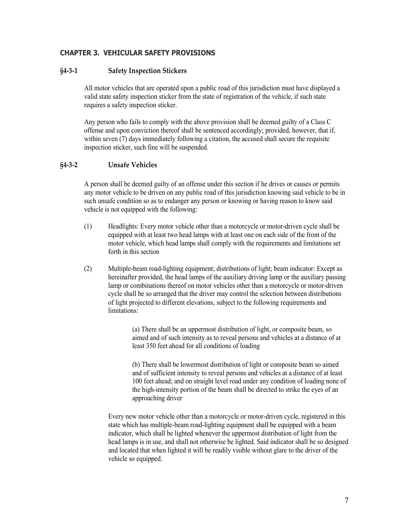## <span id="page-6-0"></span>**CHAPTER 3. VEHICULAR SAFETY PROVISIONS**

#### <span id="page-6-1"></span>**§4-3-1 Safety Inspection Stickers**

All motor vehicles that are operated upon a public road of this jurisdiction must have displayed a valid state safety inspection sticker from the state of registration of the vehicle, if such state requires a safety inspection sticker.

Any person who fails to comply with the above provision shall be deemed guilty of a Class C offense and upon conviction thereof shall be sentenced accordingly; provided, however, that if, within seven (7) days immediately following a citation, the accused shall secure the requisite inspection sticker, such fine will be suspended.

## <span id="page-6-2"></span>**§4-3-2 Unsafe Vehicles**

A person shall be deemed guilty of an offense under this section if he drives or causes or permits any motor vehicle to be driven on any public road of this jurisdiction knowing said vehicle to be in such unsafe condition so as to endanger any person or knowing or having reason to know said vehicle is not equipped with the following:

- (1) Headlights: Every motor vehicle other than a motorcycle or motor-driven cycle shall be equipped with at least two head lamps with at least one on each side of the front of the motor vehicle, which head lamps shall comply with the requirements and limitations set forth in this section
- (2) Multiple-beam road-lighting equipment; distributions of light; beam indicator: Except as hereinafter provided, the head lamps of the auxiliary driving lamp or the auxiliary passing lamp or combinations thereof on motor vehicles other than a motorcycle or motor-driven cycle shall be so arranged that the driver may control the selection between distributions of light projected to different elevations, subject to the following requirements and limitations:

(a) There shall be an uppermost distribution of light, or composite beam, so aimed and of such intensity as to reveal persons and vehicles at a distance of at least 350 feet ahead for all conditions of loading

(b) There shall be lowermost distribution of light or composite beam so aimed and of sufficient intensity to reveal persons and vehicles at a distance of at least 100 feet ahead; and on straight level road under any condition of loading none of the high-intensity portion of the beam shall be directed to strike the eyes of an approaching driver

Every new motor vehicle other than a motorcycle or motor-driven cycle, registered in this state which has multiple-beam road-lighting equipment shall be equipped with a beam indicator, which shall be lighted whenever the uppermost distribution of light from the head lamps is in use, and shall not otherwise be lighted. Said indicator shall be so designed and located that when lighted it will be readily visible without glare to the driver of the vehicle so equipped.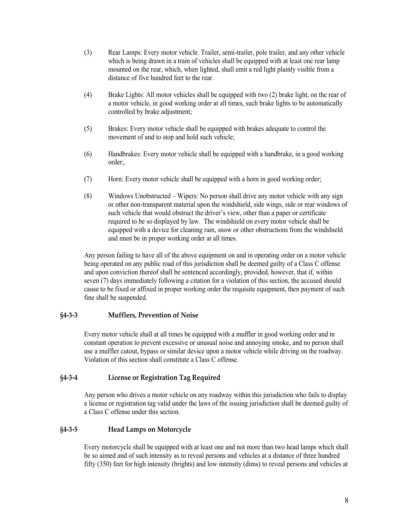- (3) Rear Lamps: Every motor vehicle. Trailer, semi-trailer, pole trailer, and any other vehicle which is being drawn in a train of vehicles shall be equipped with at least one rear lamp mounted on the rear, which, when lighted, shall emit a red light plainly visible from a distance of five hundred feet to the rear.
- (4) Brake Lights: All motor vehicles shall be equipped with two (2) brake light, on the rear of a motor vehicle, in good working order at all times, such brake lights to be automatically controlled by brake adjustment;
- (5) Brakes: Every motor vehicle shall be equipped with brakes adequate to control the movement of and to stop and hold such vehicle;
- (6) Handbrakes: Every motor vehicle shall be equipped with a handbrake, in a good working order;.
- (7) Horn: Every motor vehicle shall be equipped with a horn in good working order;
- (8) Windows Unobstructed Wipers: No person shall drive any motor vehicle with any sign or other non-transparent material upon the windshield, side wings, side or rear windows of such vehicle that would obstruct the driver's view, other than a paper or certificate required to be so displayed by law. The windshield on every motor vehicle shall be equipped with a device for cleaning rain, snow or other obstructions from the windshield and must be in proper working order at all times.

Any person failing to have all of the above equipment on and in operating order on a motor vehicle being operated on any public road of this jurisdiction shall be deemed guilty of a Class C offense and upon conviction thereof shall be sentenced accordingly, provided, however, that if, within seven (7) days immediately following a citation for a violation of this section, the accused should cause to be fixed or affixed in proper working order the requisite equipment, then payment of such fine shall be suspended.

#### <span id="page-7-0"></span>**§4-3-3 Mufflers, Prevention of Noise**

Every motor vehicle shall at all times be equipped with a muffler in good working order and in constant operation to prevent excessive or unusual noise and annoying smoke, and no person shall use a muffler cutout, bypass or similar device upon a motor vehicle while driving on the roadway. Violation of this section shall constitute a Class C offense.

#### <span id="page-7-1"></span>**§4-3-4 License or Registration Tag Required**

Any person who drives a motor vehicle on any roadway within this jurisdiction who fails to display a license or registration tag valid under the laws of the issuing jurisdiction shall be deemed guilty of a Class C offense under this section.

## <span id="page-7-2"></span>**§4-3-5 Head Lamps on Motorcycle**

Every motorcycle shall be equipped with at least one and not more than two head lamps which shall be so aimed and of such intensity as to reveal persons and vehicles at a distance of three hundred fifty (350) feet for high intensity (brights) and low intensity (dims) to reveal persons and vehicles at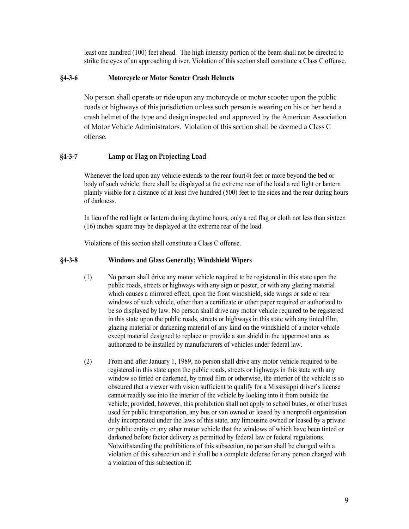least one hundred (100) feet ahead. The high intensity portion of the beam shall not be directed to strike the eyes of an approaching driver. Violation of this section shall constitute a Class C offense.

## <span id="page-8-0"></span>**§4-3-6 Motorcycle or Motor Scooter Crash Helmets**

No person shall operate or ride upon any motorcycle or motor scooter upon the public roads or highways of this jurisdiction unless such person is wearing on his or her head a crash helmet of the type and design inspected and approved by the American Association of Motor Vehicle Administrators. Violation of this section shall be deemed a Class C offense.

# <span id="page-8-1"></span>**§4-3-7 Lamp or Flag on Projecting Load**

Whenever the load upon any vehicle extends to the rear four(4) feet or more beyond the bed or body of such vehicle, there shall be displayed at the extreme rear of the load a red light or lantern plainly visible for a distance of at least five hundred (500) feet to the sides and the rear during hours of darkness.

In lieu of the red light or lantern during daytime hours, only a red flag or cloth not less than sixteen (16) inches square may be displayed at the extreme rear of the load.

Violations of this section shall constitute a Class C offense.

#### **§4-3-8 Windows and Glass Generally; Windshield Wipers**

- (1) No person shall drive any motor vehicle required to be registered in this state upon the public roads, streets or highways with any sign or poster, or with any glazing material which causes a mirrored effect, upon the front windshield, side wings or side or rear windows of such vehicle, other than a certificate or other paper required or authorized to be so displayed by law. No person shall drive any motor vehicle required to be registered in this state upon the public roads, streets or highways in this state with any tinted film, glazing material or darkening material of any kind on the windshield of a motor vehicle except material designed to replace or provide a sun shield in the uppermost area as authorized to be installed by manufacturers of vehicles under federal law.
- (2) From and after January 1, 1989, no person shall drive any motor vehicle required to be registered in this state upon the public roads, streets or highways in this state with any window so tinted or darkened, by tinted film or otherwise, the interior of the vehicle is so obscured that a viewer with vision sufficient to qualify for a Mississippi driver's license cannot readily see into the interior of the vehicle by looking into it from outside the vehicle; provided, however, this prohibition shall not apply to school buses, or other buses used for public transportation, any bus or van owned or leased by a nonprofit organization duly incorporated under the laws of this state, any limousine owned or leased by a private or public entity or any other motor vehicle that the windows of which have been tinted or darkened before factor delivery as permitted by federal law or federal regulations. Notwithstanding the prohibitions of this subsection, no person shall be charged with a violation of this subsection and it shall be a complete defense for any person charged with a violation of this subsection if: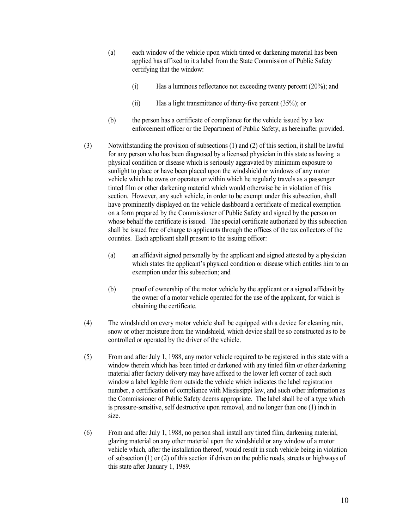- (a) each window of the vehicle upon which tinted or darkening material has been applied has affixed to it a label from the State Commission of Public Safety certifying that the window:
	- (i) Has a luminous reflectance not exceeding twenty percent (20%); and
	- (ii) Has a light transmittance of thirty-five percent (35%); or
- (b) the person has a certificate of compliance for the vehicle issued by a law enforcement officer or the Department of Public Safety, as hereinafter provided.
- (3) Notwithstanding the provision of subsections (1) and (2) of this section, it shall be lawful for any person who has been diagnosed by a licensed physician in this state as having a physical condition or disease which is seriously aggravated by minimum exposure to sunlight to place or have been placed upon the windshield or windows of any motor vehicle which he owns or operates or within which he regularly travels as a passenger tinted film or other darkening material which would otherwise be in violation of this section. However, any such vehicle, in order to be exempt under this subsection, shall have prominently displayed on the vehicle dashboard a certificate of medical exemption on a form prepared by the Commissioner of Public Safety and signed by the person on whose behalf the certificate is issued. The special certificate authorized by this subsection shall be issued free of charge to applicants through the offices of the tax collectors of the counties. Each applicant shall present to the issuing officer:
	- (a) an affidavit signed personally by the applicant and signed attested by a physician which states the applicant's physical condition or disease which entitles him to an exemption under this subsection; and
	- (b) proof of ownership of the motor vehicle by the applicant or a signed affidavit by the owner of a motor vehicle operated for the use of the applicant, for which is obtaining the certificate.
- (4) The windshield on every motor vehicle shall be equipped with a device for cleaning rain, snow or other moisture from the windshield, which device shall be so constructed as to be controlled or operated by the driver of the vehicle.
- (5) From and after July 1, 1988, any motor vehicle required to be registered in this state with a window therein which has been tinted or darkened with any tinted film or other darkening material after factory delivery may have affixed to the lower left corner of each such window a label legible from outside the vehicle which indicates the label registration number, a certification of compliance with Mississippi law, and such other information as the Commissioner of Public Safety deems appropriate. The label shall be of a type which is pressure-sensitive, self destructive upon removal, and no longer than one (1) inch in size.
- (6) From and after July 1, 1988, no person shall install any tinted film, darkening material, glazing material on any other material upon the windshield or any window of a motor vehicle which, after the installation thereof, would result in such vehicle being in violation of subsection (1) or (2) of this section if driven on the public roads, streets or highways of this state after January 1, 1989.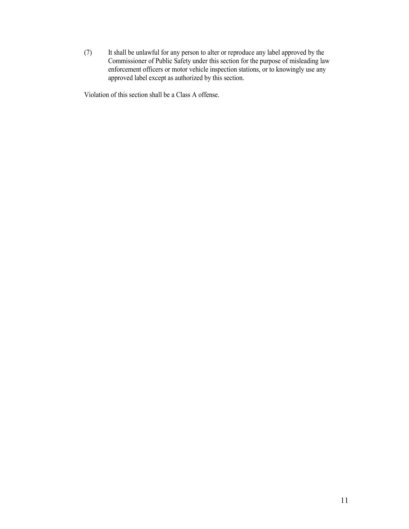(7) It shall be unlawful for any person to alter or reproduce any label approved by the Commissioner of Public Safety under this section for the purpose of misleading law enforcement officers or motor vehicle inspection stations, or to knowingly use any approved label except as authorized by this section.

Violation of this section shall be a Class A offense.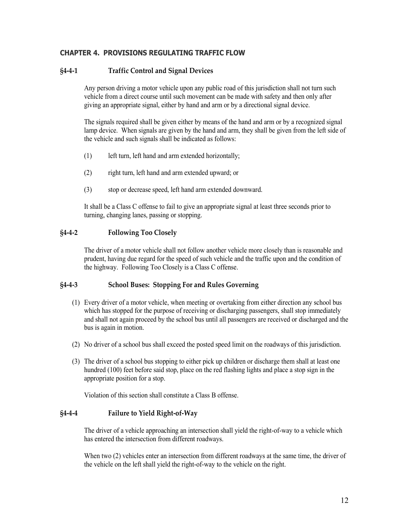## <span id="page-11-0"></span>**CHAPTER 4. PROVISIONS REGULATING TRAFFIC FLOW**

## <span id="page-11-1"></span>**§4-4-1 Traffic Control and Signal Devices**

Any person driving a motor vehicle upon any public road of this jurisdiction shall not turn such vehicle from a direct course until such movement can be made with safety and then only after giving an appropriate signal, either by hand and arm or by a directional signal device.

The signals required shall be given either by means of the hand and arm or by a recognized signal lamp device. When signals are given by the hand and arm, they shall be given from the left side of the vehicle and such signals shall be indicated as follows:

- (1) left turn, left hand and arm extended horizontally;
- (2) right turn, left hand and arm extended upward; or
- (3) stop or decrease speed, left hand arm extended downward.

It shall be a Class C offense to fail to give an appropriate signal at least three seconds prior to turning, changing lanes, passing or stopping.

#### <span id="page-11-2"></span>**§4-4-2 Following Too Closely**

The driver of a motor vehicle shall not follow another vehicle more closely than is reasonable and prudent, having due regard for the speed of such vehicle and the traffic upon and the condition of the highway. Following Too Closely is a Class C offense.

#### <span id="page-11-3"></span>**§4-4-3 School Buses: Stopping For and Rules Governing**

- (1) Every driver of a motor vehicle, when meeting or overtaking from either direction any school bus which has stopped for the purpose of receiving or discharging passengers, shall stop immediately and shall not again proceed by the school bus until all passengers are received or discharged and the bus is again in motion.
- (2) No driver of a school bus shall exceed the posted speed limit on the roadways of this jurisdiction.
- (3) The driver of a school bus stopping to either pick up children or discharge them shall at least one hundred (100) feet before said stop, place on the red flashing lights and place a stop sign in the appropriate position for a stop.

Violation of this section shall constitute a Class B offense.

#### <span id="page-11-4"></span>**§4-4-4 Failure to Yield Right-of-Way**

The driver of a vehicle approaching an intersection shall yield the right-of-way to a vehicle which has entered the intersection from different roadways.

When two (2) vehicles enter an intersection from different roadways at the same time, the driver of the vehicle on the left shall yield the right-of-way to the vehicle on the right.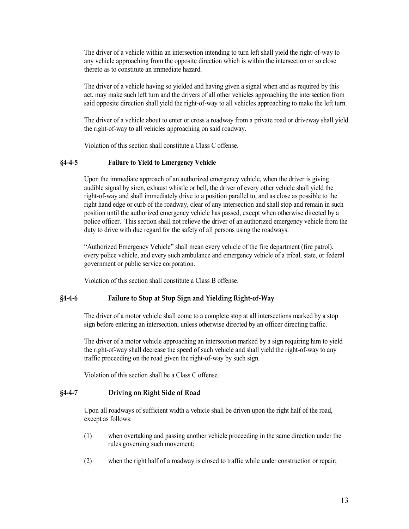The driver of a vehicle within an intersection intending to turn left shall yield the right-of-way to any vehicle approaching from the opposite direction which is within the intersection or so close thereto as to constitute an immediate hazard.

The driver of a vehicle having so yielded and having given a signal when and as required by this act, may make such left turn and the drivers of all other vehicles approaching the intersection from said opposite direction shall yield the right-of-way to all vehicles approaching to make the left turn.

The driver of a vehicle about to enter or cross a roadway from a private road or driveway shall yield the right-of-way to all vehicles approaching on said roadway.

Violation of this section shall constitute a Class C offense.

#### **§4-4-5 Failure to Yield to Emergency Vehicle**

Upon the immediate approach of an authorized emergency vehicle, when the driver is giving audible signal by siren, exhaust whistle or bell, the driver of every other vehicle shall yield the right-of-way and shall immediately drive to a position parallel to, and as close as possible to the right hand edge or curb of the roadway, clear of any intersection and shall stop and remain in such position until the authorized emergency vehicle has passed, except when otherwise directed by a police officer. This section shall not relieve the driver of an authorized emergency vehicle from the duty to drive with due regard for the safety of all persons using the roadways.

"Authorized Emergency Vehicle" shall mean every vehicle of the fire department (fire patrol), every police vehicle, and every such ambulance and emergency vehicle of a tribal, state, or federal government or public service corporation.

Violation of this section shall constitute a Class B offense.

#### <span id="page-12-0"></span>**§4-4-6 Failure to Stop at Stop Sign and Yielding Right-of-Way**

The driver of a motor vehicle shall come to a complete stop at all intersections marked by a stop sign before entering an intersection, unless otherwise directed by an officer directing traffic.

The driver of a motor vehicle approaching an intersection marked by a sign requiring him to yield the right-of-way shall decrease the speed of such vehicle and shall yield the right-of-way to any traffic proceeding on the road given the right-of-way by such sign.

Violation of this section shall be a Class C offense.

#### <span id="page-12-1"></span>**§4-4-7 Driving on Right Side of Road**

Upon all roadways of sufficient width a vehicle shall be driven upon the right half of the road, except as follows:

- (1) when overtaking and passing another vehicle proceeding in the same direction under the rules governing such movement;
- (2) when the right half of a roadway is closed to traffic while under construction or repair;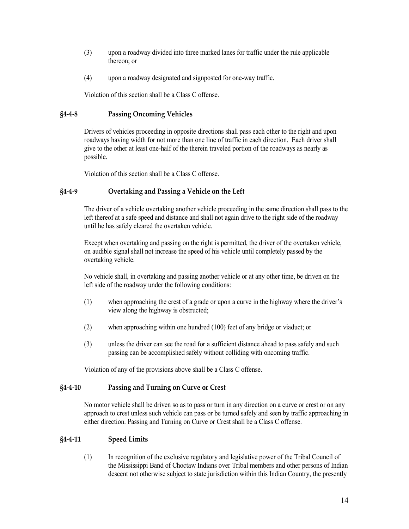- (3) upon a roadway divided into three marked lanes for traffic under the rule applicable thereon; or
- (4) upon a roadway designated and signposted for one-way traffic.

Violation of this section shall be a Class C offense.

#### <span id="page-13-0"></span>**§4-4-8 Passing Oncoming Vehicles**

Drivers of vehicles proceeding in opposite directions shall pass each other to the right and upon roadways having width for not more than one line of traffic in each direction. Each driver shall give to the other at least one-half of the therein traveled portion of the roadways as nearly as possible.

Violation of this section shall be a Class C offense.

#### <span id="page-13-1"></span>**§4-4-9 Overtaking and Passing a Vehicle on the Left**

The driver of a vehicle overtaking another vehicle proceeding in the same direction shall pass to the left thereof at a safe speed and distance and shall not again drive to the right side of the roadway until he has safely cleared the overtaken vehicle.

Except when overtaking and passing on the right is permitted, the driver of the overtaken vehicle, on audible signal shall not increase the speed of his vehicle until completely passed by the overtaking vehicle.

No vehicle shall, in overtaking and passing another vehicle or at any other time, be driven on the left side of the roadway under the following conditions:

- (1) when approaching the crest of a grade or upon a curve in the highway where the driver's view along the highway is obstructed;
- (2) when approaching within one hundred (100) feet of any bridge or viaduct; or
- (3) unless the driver can see the road for a sufficient distance ahead to pass safely and such passing can be accomplished safely without colliding with oncoming traffic.

Violation of any of the provisions above shall be a Class C offense.

#### <span id="page-13-2"></span>**§4-4-10 Passing and Turning on Curve or Crest**

No motor vehicle shall be driven so as to pass or turn in any direction on a curve or crest or on any approach to crest unless such vehicle can pass or be turned safely and seen by traffic approaching in either direction. Passing and Turning on Curve or Crest shall be a Class C offense.

#### <span id="page-13-3"></span>**§4-4-11 Speed Limits**

(1) In recognition of the exclusive regulatory and legislative power of the Tribal Council of the Mississippi Band of Choctaw Indians over Tribal members and other persons of Indian descent not otherwise subject to state jurisdiction within this Indian Country, the presently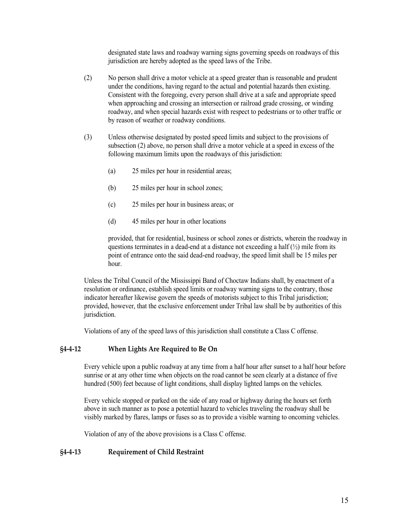designated state laws and roadway warning signs governing speeds on roadways of this jurisdiction are hereby adopted as the speed laws of the Tribe.

- (2) No person shall drive a motor vehicle at a speed greater than is reasonable and prudent under the conditions, having regard to the actual and potential hazards then existing. Consistent with the foregoing, every person shall drive at a safe and appropriate speed when approaching and crossing an intersection or railroad grade crossing, or winding roadway, and when special hazards exist with respect to pedestrians or to other traffic or by reason of weather or roadway conditions.
- (3) Unless otherwise designated by posted speed limits and subject to the provisions of subsection (2) above, no person shall drive a motor vehicle at a speed in excess of the following maximum limits upon the roadways of this jurisdiction:
	- (a) 25 miles per hour in residential areas;
	- (b) 25 miles per hour in school zones;
	- (c) 25 miles per hour in business areas; or
	- (d) 45 miles per hour in other locations

provided, that for residential, business or school zones or districts, wherein the roadway in questions terminates in a dead-end at a distance not exceeding a half  $(\frac{1}{2})$  mile from its point of entrance onto the said dead-end roadway, the speed limit shall be 15 miles per hour.

Unless the Tribal Council of the Mississippi Band of Choctaw Indians shall, by enactment of a resolution or ordinance, establish speed limits or roadway warning signs to the contrary, those indicator hereafter likewise govern the speeds of motorists subject to this Tribal jurisdiction; provided, however, that the exclusive enforcement under Tribal law shall be by authorities of this jurisdiction.

Violations of any of the speed laws of this jurisdiction shall constitute a Class C offense.

## <span id="page-14-0"></span>**§4-4-12 When Lights Are Required to Be On**

Every vehicle upon a public roadway at any time from a half hour after sunset to a half hour before sunrise or at any other time when objects on the road cannot be seen clearly at a distance of five hundred (500) feet because of light conditions, shall display lighted lamps on the vehicles.

Every vehicle stopped or parked on the side of any road or highway during the hours set forth above in such manner as to pose a potential hazard to vehicles traveling the roadway shall be visibly marked by flares, lamps or fuses so as to provide a visible warning to oncoming vehicles.

Violation of any of the above provisions is a Class C offense.

## <span id="page-14-1"></span>**§4-4-13 Requirement of Child Restraint**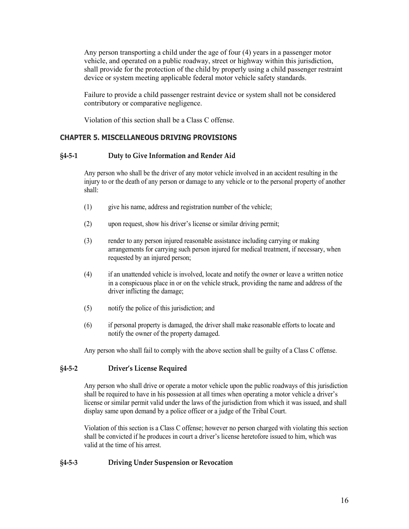Any person transporting a child under the age of four (4) years in a passenger motor vehicle, and operated on a public roadway, street or highway within this jurisdiction, shall provide for the protection of the child by properly using a child passenger restraint device or system meeting applicable federal motor vehicle safety standards.

Failure to provide a child passenger restraint device or system shall not be considered contributory or comparative negligence.

Violation of this section shall be a Class C offense.

## <span id="page-15-0"></span>**CHAPTER 5. MISCELLANEOUS DRIVING PROVISIONS**

#### <span id="page-15-1"></span>**§4-5-1 Duty to Give Information and Render Aid**

Any person who shall be the driver of any motor vehicle involved in an accident resulting in the injury to or the death of any person or damage to any vehicle or to the personal property of another shall:

- (1) give his name, address and registration number of the vehicle;
- (2) upon request, show his driver's license or similar driving permit;
- (3) render to any person injured reasonable assistance including carrying or making arrangements for carrying such person injured for medical treatment, if necessary, when requested by an injured person;
- (4) if an unattended vehicle is involved, locate and notify the owner or leave a written notice in a conspicuous place in or on the vehicle struck, providing the name and address of the driver inflicting the damage;
- (5) notify the police of this jurisdiction; and
- (6) if personal property is damaged, the driver shall make reasonable efforts to locate and notify the owner of the property damaged.

Any person who shall fail to comply with the above section shall be guilty of a Class C offense.

#### <span id="page-15-2"></span>**§4-5-2 Driver's License Required**

Any person who shall drive or operate a motor vehicle upon the public roadways of this jurisdiction shall be required to have in his possession at all times when operating a motor vehicle a driver's license or similar permit valid under the laws of the jurisdiction from which it was issued, and shall display same upon demand by a police officer or a judge of the Tribal Court.

Violation of this section is a Class C offense; however no person charged with violating this section shall be convicted if he produces in court a driver's license heretofore issued to him, which was valid at the time of his arrest.

## <span id="page-15-3"></span>**§4-5-3 Driving Under Suspension or Revocation**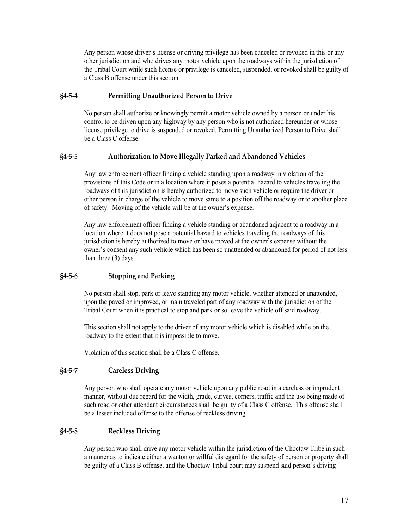Any person whose driver's license or driving privilege has been canceled or revoked in this or any other jurisdiction and who drives any motor vehicle upon the roadways within the jurisdiction of the Tribal Court while such license or privilege is canceled, suspended, or revoked shall be guilty of a Class B offense under this section.

## <span id="page-16-0"></span>**§4-5-4 Permitting Unauthorized Person to Drive**

No person shall authorize or knowingly permit a motor vehicle owned by a person or under his control to be driven upon any highway by any person who is not authorized hereunder or whose license privilege to drive is suspended or revoked. Permitting Unauthorized Person to Drive shall be a Class C offense.

## <span id="page-16-1"></span>**§4-5-5 Authorization to Move Illegally Parked and Abandoned Vehicles**

Any law enforcement officer finding a vehicle standing upon a roadway in violation of the provisions of this Code or in a location where it poses a potential hazard to vehicles traveling the roadways of this jurisdiction is hereby authorized to move such vehicle or require the driver or other person in charge of the vehicle to move same to a position off the roadway or to another place of safety. Moving of the vehicle will be at the owner's expense.

Any law enforcement officer finding a vehicle standing or abandoned adjacent to a roadway in a location where it does not pose a potential hazard to vehicles traveling the roadways of this jurisdiction is hereby authorized to move or have moved at the owner's expense without the owner's consent any such vehicle which has been so unattended or abandoned for period of not less than three (3) days.

#### <span id="page-16-2"></span>**§4-5-6 Stopping and Parking**

No person shall stop, park or leave standing any motor vehicle, whether attended or unattended, upon the paved or improved, or main traveled part of any roadway with the jurisdiction of the Tribal Court when it is practical to stop and park or so leave the vehicle off said roadway.

This section shall not apply to the driver of any motor vehicle which is disabled while on the roadway to the extent that it is impossible to move.

Violation of this section shall be a Class C offense.

#### <span id="page-16-3"></span>**§4-5-7 Careless Driving**

Any person who shall operate any motor vehicle upon any public road in a careless or imprudent manner, without due regard for the width, grade, curves, corners, traffic and the use being made of such road or other attendant circumstances shall be guilty of a Class C offense. This offense shall be a lesser included offense to the offense of reckless driving.

#### <span id="page-16-4"></span>**§4-5-8 Reckless Driving**

Any person who shall drive any motor vehicle within the jurisdiction of the Choctaw Tribe in such a manner as to indicate either a wanton or willful disregard for the safety of person or property shall be guilty of a Class B offense, and the Choctaw Tribal court may suspend said person's driving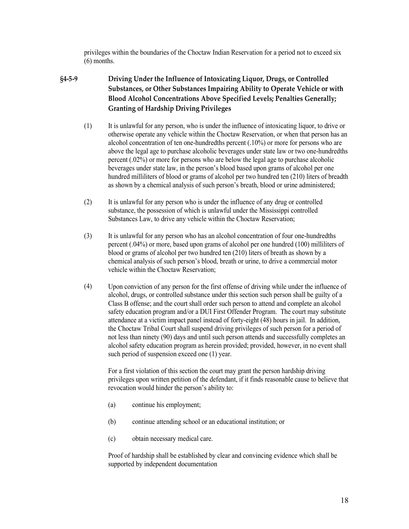privileges within the boundaries of the Choctaw Indian Reservation for a period not to exceed six (6) months.

- <span id="page-17-0"></span>**§4-5-9 Driving Under the Influence of Intoxicating Liquor, Drugs, or Controlled Substances, or Other Substances Impairing Ability to Operate Vehicle or with Blood Alcohol Concentrations Above Specified Levels; Penalties Generally; Granting of Hardship Driving Privileges**
	- (1) It is unlawful for any person, who is under the influence of intoxicating liquor, to drive or otherwise operate any vehicle within the Choctaw Reservation, or when that person has an alcohol concentration of ten one-hundredths percent (.10%) or more for persons who are above the legal age to purchase alcoholic beverages under state law or two one-hundredths percent (.02%) or more for persons who are below the legal age to purchase alcoholic beverages under state law, in the person's blood based upon grams of alcohol per one hundred milliliters of blood or grams of alcohol per two hundred ten (210) liters of breadth as shown by a chemical analysis of such person's breath, blood or urine administered;
	- (2) It is unlawful for any person who is under the influence of any drug or controlled substance, the possession of which is unlawful under the Mississippi controlled Substances Law, to drive any vehicle within the Choctaw Reservation;
	- (3) It is unlawful for any person who has an alcohol concentration of four one-hundredths percent (.04%) or more, based upon grams of alcohol per one hundred (100) milliliters of blood or grams of alcohol per two hundred ten (210) liters of breath as shown by a chemical analysis of such person's blood, breath or urine, to drive a commercial motor vehicle within the Choctaw Reservation;
	- (4) Upon conviction of any person for the first offense of driving while under the influence of alcohol, drugs, or controlled substance under this section such person shall be guilty of a Class B offense; and the court shall order such person to attend and complete an alcohol safety education program and/or a DUI First Offender Program. The court may substitute attendance at a victim impact panel instead of forty-eight (48) hours in jail. In addition, the Choctaw Tribal Court shall suspend driving privileges of such person for a period of not less than ninety (90) days and until such person attends and successfully completes an alcohol safety education program as herein provided; provided, however, in no event shall such period of suspension exceed one (1) year.

For a first violation of this section the court may grant the person hardship driving privileges upon written petition of the defendant, if it finds reasonable cause to believe that revocation would hinder the person's ability to:

- (a) continue his employment;
- (b) continue attending school or an educational institution; or
- (c) obtain necessary medical care.

Proof of hardship shall be established by clear and convincing evidence which shall be supported by independent documentation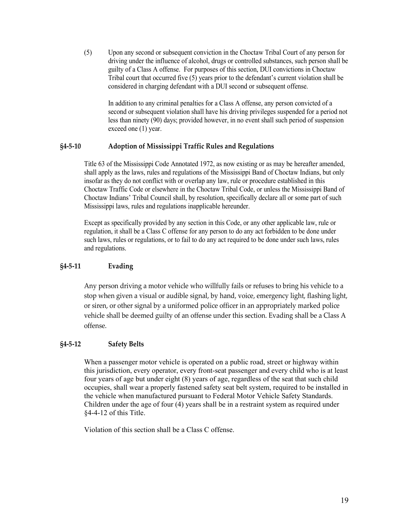(5) Upon any second or subsequent conviction in the Choctaw Tribal Court of any person for driving under the influence of alcohol, drugs or controlled substances, such person shall be guilty of a Class A offense. For purposes of this section, DUI convictions in Choctaw Tribal court that occurred five (5) years prior to the defendant's current violation shall be considered in charging defendant with a DUI second or subsequent offense.

In addition to any criminal penalties for a Class A offense, any person convicted of a second or subsequent violation shall have his driving privileges suspended for a period not less than ninety (90) days; provided however, in no event shall such period of suspension exceed one (1) year.

#### <span id="page-18-0"></span>**§4-5-10 Adoption of Mississippi Traffic Rules and Regulations**

Title 63 of the Mississippi Code Annotated 1972, as now existing or as may be hereafter amended, shall apply as the laws, rules and regulations of the Mississippi Band of Choctaw Indians, but only insofar as they do not conflict with or overlap any law, rule or procedure established in this Choctaw Traffic Code or elsewhere in the Choctaw Tribal Code, or unless the Mississippi Band of Choctaw Indians' Tribal Council shall, by resolution, specifically declare all or some part of such Mississippi laws, rules and regulations inapplicable hereunder.

Except as specifically provided by any section in this Code, or any other applicable law, rule or regulation, it shall be a Class C offense for any person to do any act forbidden to be done under such laws, rules or regulations, or to fail to do any act required to be done under such laws, rules and regulations.

## <span id="page-18-1"></span>**§4-5-11 Evading**

Any person driving a motor vehicle who willfully fails or refuses to bring his vehicle to a stop when given a visual or audible signal, by hand, voice, emergency light, flashing light, or siren, or other signal by a uniformed police officer in an appropriately marked police vehicle shall be deemed guilty of an offense under this section. Evading shall be a Class A offense.

## <span id="page-18-2"></span>**§4-5-12 Safety Belts**

When a passenger motor vehicle is operated on a public road, street or highway within this jurisdiction, every operator, every front-seat passenger and every child who is at least four years of age but under eight (8) years of age, regardless of the seat that such child occupies, shall wear a properly fastened safety seat belt system, required to be installed in the vehicle when manufactured pursuant to Federal Motor Vehicle Safety Standards. Children under the age of four (4) years shall be in a restraint system as required under §4-4-12 of this Title.

Violation of this section shall be a Class C offense.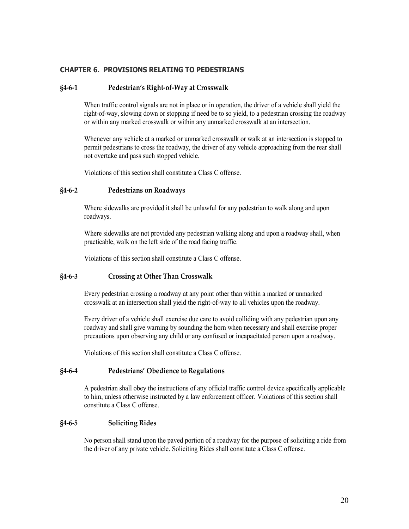## <span id="page-19-0"></span>**CHAPTER 6. PROVISIONS RELATING TO PEDESTRIANS**

#### <span id="page-19-1"></span>**§4-6-1 Pedestrian's Right-of-Way at Crosswalk**

When traffic control signals are not in place or in operation, the driver of a vehicle shall yield the right-of-way, slowing down or stopping if need be to so yield, to a pedestrian crossing the roadway or within any marked crosswalk or within any unmarked crosswalk at an intersection.

Whenever any vehicle at a marked or unmarked crosswalk or walk at an intersection is stopped to permit pedestrians to cross the roadway, the driver of any vehicle approaching from the rear shall not overtake and pass such stopped vehicle.

Violations of this section shall constitute a Class C offense.

#### <span id="page-19-2"></span>**§4-6-2 Pedestrians on Roadways**

Where sidewalks are provided it shall be unlawful for any pedestrian to walk along and upon roadways.

Where sidewalks are not provided any pedestrian walking along and upon a roadway shall, when practicable, walk on the left side of the road facing traffic.

Violations of this section shall constitute a Class C offense.

#### <span id="page-19-3"></span>**§4-6-3 Crossing at Other Than Crosswalk**

Every pedestrian crossing a roadway at any point other than within a marked or unmarked crosswalk at an intersection shall yield the right-of-way to all vehicles upon the roadway.

Every driver of a vehicle shall exercise due care to avoid colliding with any pedestrian upon any roadway and shall give warning by sounding the horn when necessary and shall exercise proper precautions upon observing any child or any confused or incapacitated person upon a roadway.

Violations of this section shall constitute a Class C offense.

#### <span id="page-19-4"></span>**§4-6-4 Pedestrians' Obedience to Regulations**

A pedestrian shall obey the instructions of any official traffic control device specifically applicable to him, unless otherwise instructed by a law enforcement officer. Violations of this section shall constitute a Class C offense.

#### <span id="page-19-5"></span>**§4-6-5 Soliciting Rides**

No person shall stand upon the paved portion of a roadway for the purpose of soliciting a ride from the driver of any private vehicle. Soliciting Rides shall constitute a Class C offense.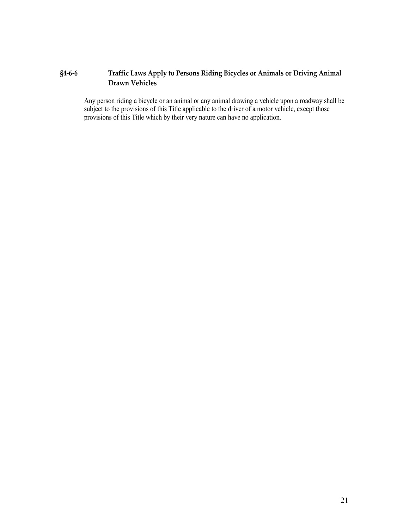# <span id="page-20-0"></span>**§4-6-6 Traffic Laws Apply to Persons Riding Bicycles or Animals or Driving Animal Drawn Vehicles**

Any person riding a bicycle or an animal or any animal drawing a vehicle upon a roadway shall be subject to the provisions of this Title applicable to the driver of a motor vehicle, except those provisions of this Title which by their very nature can have no application.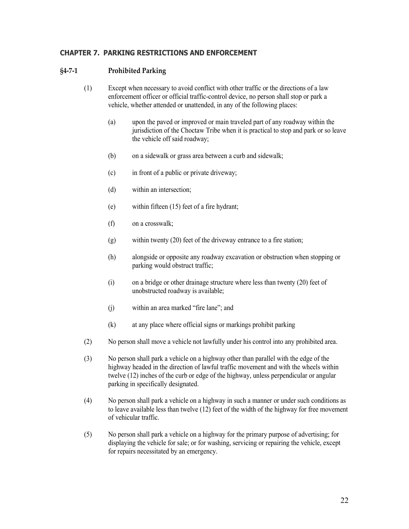# <span id="page-21-0"></span>**CHAPTER 7. PARKING RESTRICTIONS AND ENFORCEMENT**

## <span id="page-21-1"></span>**§4-7-1 Prohibited Parking**

- (1) Except when necessary to avoid conflict with other traffic or the directions of a law enforcement officer or official traffic-control device, no person shall stop or park a vehicle, whether attended or unattended, in any of the following places:
	- (a) upon the paved or improved or main traveled part of any roadway within the jurisdiction of the Choctaw Tribe when it is practical to stop and park or so leave the vehicle off said roadway;
	- (b) on a sidewalk or grass area between a curb and sidewalk;
	- (c) in front of a public or private driveway;
	- (d) within an intersection;
	- (e) within fifteen (15) feet of a fire hydrant;
	- (f) on a crosswalk;
	- (g) within twenty (20) feet of the driveway entrance to a fire station;
	- (h) alongside or opposite any roadway excavation or obstruction when stopping or parking would obstruct traffic;
	- (i) on a bridge or other drainage structure where less than twenty (20) feet of unobstructed roadway is available;
	- (j) within an area marked "fire lane"; and
	- (k) at any place where official signs or markings prohibit parking
- (2) No person shall move a vehicle not lawfully under his control into any prohibited area.
- (3) No person shall park a vehicle on a highway other than parallel with the edge of the highway headed in the direction of lawful traffic movement and with the wheels within twelve (12) inches of the curb or edge of the highway, unless perpendicular or angular parking in specifically designated.
- (4) No person shall park a vehicle on a highway in such a manner or under such conditions as to leave available less than twelve (12) feet of the width of the highway for free movement of vehicular traffic.
- (5) No person shall park a vehicle on a highway for the primary purpose of advertising; for displaying the vehicle for sale; or for washing, servicing or repairing the vehicle, except for repairs necessitated by an emergency.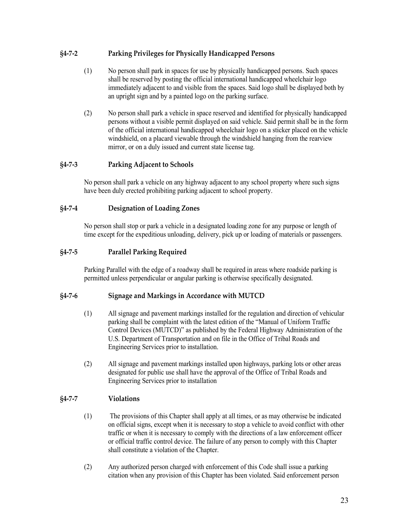# <span id="page-22-0"></span>**§4-7-2 Parking Privileges for Physically Handicapped Persons**

- (1) No person shall park in spaces for use by physically handicapped persons. Such spaces shall be reserved by posting the official international handicapped wheelchair logo immediately adjacent to and visible from the spaces. Said logo shall be displayed both by an upright sign and by a painted logo on the parking surface.
- (2) No person shall park a vehicle in space reserved and identified for physically handicapped persons without a visible permit displayed on said vehicle. Said permit shall be in the form of the official international handicapped wheelchair logo on a sticker placed on the vehicle windshield, on a placard viewable through the windshield hanging from the rearview mirror, or on a duly issued and current state license tag.

## <span id="page-22-1"></span>**§4-7-3 Parking Adjacent to Schools**

No person shall park a vehicle on any highway adjacent to any school property where such signs have been duly erected prohibiting parking adjacent to school property.

## <span id="page-22-2"></span>**§4-7-4 Designation of Loading Zones**

No person shall stop or park a vehicle in a designated loading zone for any purpose or length of time except for the expeditious unloading, delivery, pick up or loading of materials or passengers.

# <span id="page-22-3"></span>**§4-7-5 Parallel Parking Required**

Parking Parallel with the edge of a roadway shall be required in areas where roadside parking is permitted unless perpendicular or angular parking is otherwise specifically designated.

## <span id="page-22-4"></span>**§4-7-6 Signage and Markings in Accordance with MUTCD**

- (1) All signage and pavement markings installed for the regulation and direction of vehicular parking shall be complaint with the latest edition of the "Manual of Uniform Traffic Control Devices (MUTCD)" as published by the Federal Highway Administration of the U.S. Department of Transportation and on file in the Office of Tribal Roads and Engineering Services prior to installation.
- (2) All signage and pavement markings installed upon highways, parking lots or other areas designated for public use shall have the approval of the Office of Tribal Roads and Engineering Services prior to installation

# <span id="page-22-5"></span>**§4-7-7 Violations**

- (1) The provisions of this Chapter shall apply at all times, or as may otherwise be indicated on official signs, except when it is necessary to stop a vehicle to avoid conflict with other traffic or when it is necessary to comply with the directions of a law enforcement officer or official traffic control device. The failure of any person to comply with this Chapter shall constitute a violation of the Chapter.
- (2) Any authorized person charged with enforcement of this Code shall issue a parking citation when any provision of this Chapter has been violated. Said enforcement person